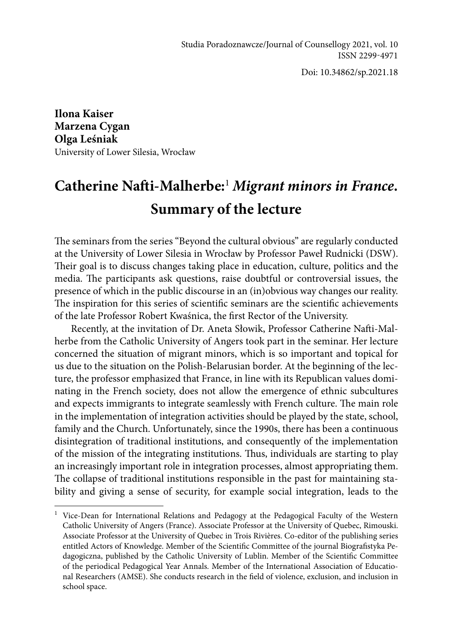Doi: 10.34862/sp.2021.18

**Ilona Kaiser Marzena Cygan Olga Leśniak**  University of Lower Silesia, Wrocław

## **Catherine Nafti-Malherbe:**<sup>1</sup> *Migrant minors in France***. Summary of the lecture**

The seminars from the series "Beyond the cultural obvious" are regularly conducted at the University of Lower Silesia in Wrocław by Professor Paweł Rudnicki (DSW). Their goal is to discuss changes taking place in education, culture, politics and the media. The participants ask questions, raise doubtful or controversial issues, the presence of which in the public discourse in an (in)obvious way changes our reality. The inspiration for this series of scientific seminars are the scientific achievements of the late Professor Robert Kwaśnica, the first Rector of the University.

Recently, at the invitation of Dr. Aneta Słowik, Professor Catherine Nafti-Malherbe from the Catholic University of Angers took part in the seminar. Her lecture concerned the situation of migrant minors, which is so important and topical for us due to the situation on the Polish-Belarusian border. At the beginning of the lecture, the professor emphasized that France, in line with its Republican values dominating in the French society, does not allow the emergence of ethnic subcultures and expects immigrants to integrate seamlessly with French culture. The main role in the implementation of integration activities should be played by the state, school, family and the Church. Unfortunately, since the 1990s, there has been a continuous disintegration of traditional institutions, and consequently of the implementation of the mission of the integrating institutions. Thus, individuals are starting to play an increasingly important role in integration processes, almost appropriating them. The collapse of traditional institutions responsible in the past for maintaining stability and giving a sense of security, for example social integration, leads to the

<sup>&</sup>lt;sup>1</sup> Vice-Dean for International Relations and Pedagogy at the Pedagogical Faculty of the Western Catholic University of Angers (France). Associate Professor at the University of Quebec, Rimouski. Associate Professor at the University of Quebec in Trois Rivières. Co-editor of the publishing series entitled Actors of Knowledge. Member of the Scientific Committee of the journal Biografistyka Pedagogiczna, published by the Catholic University of Lublin. Member of the Scientific Committee of the periodical Pedagogical Year Annals. Member of the International Association of Educational Researchers (AMSE). She conducts research in the field of violence, exclusion, and inclusion in school space.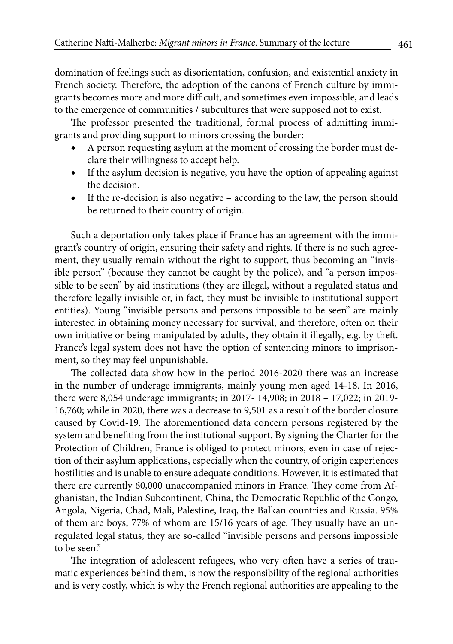domination of feelings such as disorientation, confusion, and existential anxiety in French society. Therefore, the adoption of the canons of French culture by immigrants becomes more and more difficult, and sometimes even impossible, and leads to the emergence of communities / subcultures that were supposed not to exist.

The professor presented the traditional, formal process of admitting immigrants and providing support to minors crossing the border:

- A person requesting asylum at the moment of crossing the border must declare their willingness to accept help.
- ◆ If the asylum decision is negative, you have the option of appealing against the decision.
- If the re-decision is also negative according to the law, the person should be returned to their country of origin.

Such a deportation only takes place if France has an agreement with the immigrant's country of origin, ensuring their safety and rights. If there is no such agreement, they usually remain without the right to support, thus becoming an "invisible person" (because they cannot be caught by the police), and "a person impossible to be seen" by aid institutions (they are illegal, without a regulated status and therefore legally invisible or, in fact, they must be invisible to institutional support entities). Young "invisible persons and persons impossible to be seen" are mainly interested in obtaining money necessary for survival, and therefore, often on their own initiative or being manipulated by adults, they obtain it illegally, e.g. by theft. France's legal system does not have the option of sentencing minors to imprisonment, so they may feel unpunishable.

The collected data show how in the period 2016-2020 there was an increase in the number of underage immigrants, mainly young men aged 14-18. In 2016, there were 8,054 underage immigrants; in 2017- 14,908; in 2018 – 17,022; in 2019- 16,760; while in 2020, there was a decrease to 9,501 as a result of the border closure caused by Covid-19. The aforementioned data concern persons registered by the system and benefiting from the institutional support. By signing the Charter for the Protection of Children, France is obliged to protect minors, even in case of rejection of their asylum applications, especially when the country, of origin experiences hostilities and is unable to ensure adequate conditions. However, it is estimated that there are currently 60,000 unaccompanied minors in France. They come from Afghanistan, the Indian Subcontinent, China, the Democratic Republic of the Congo, Angola, Nigeria, Chad, Mali, Palestine, Iraq, the Balkan countries and Russia. 95% of them are boys, 77% of whom are 15/16 years of age. They usually have an unregulated legal status, they are so-called "invisible persons and persons impossible to be seen."

The integration of adolescent refugees, who very often have a series of traumatic experiences behind them, is now the responsibility of the regional authorities and is very costly, which is why the French regional authorities are appealing to the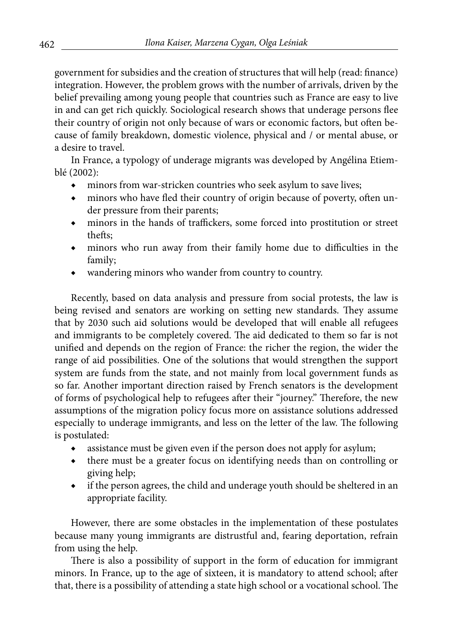government for subsidies and the creation of structures that will help (read: finance) integration. However, the problem grows with the number of arrivals, driven by the belief prevailing among young people that countries such as France are easy to live in and can get rich quickly. Sociological research shows that underage persons flee their country of origin not only because of wars or economic factors, but often because of family breakdown, domestic violence, physical and / or mental abuse, or a desire to travel.

In France, a typology of underage migrants was developed by Angélina Etiemblé (2002):

- ◆ minors from war-stricken countries who seek asylum to save lives;
- ◆ minors who have fled their country of origin because of poverty, often under pressure from their parents;
- ◆ minors in the hands of traffickers, some forced into prostitution or street thefts;
- ◆ minors who run away from their family home due to difficulties in the family;
- wandering minors who wander from country to country.

Recently, based on data analysis and pressure from social protests, the law is being revised and senators are working on setting new standards. They assume that by 2030 such aid solutions would be developed that will enable all refugees and immigrants to be completely covered. The aid dedicated to them so far is not unified and depends on the region of France: the richer the region, the wider the range of aid possibilities. One of the solutions that would strengthen the support system are funds from the state, and not mainly from local government funds as so far. Another important direction raised by French senators is the development of forms of psychological help to refugees after their "journey." Therefore, the new assumptions of the migration policy focus more on assistance solutions addressed especially to underage immigrants, and less on the letter of the law. The following is postulated:

- assistance must be given even if the person does not apply for asylum;
- ◆ there must be a greater focus on identifying needs than on controlling or giving help;
- ◆ if the person agrees, the child and underage youth should be sheltered in an appropriate facility.

However, there are some obstacles in the implementation of these postulates because many young immigrants are distrustful and, fearing deportation, refrain from using the help.

There is also a possibility of support in the form of education for immigrant minors. In France, up to the age of sixteen, it is mandatory to attend school; after that, there is a possibility of attending a state high school or a vocational school. The